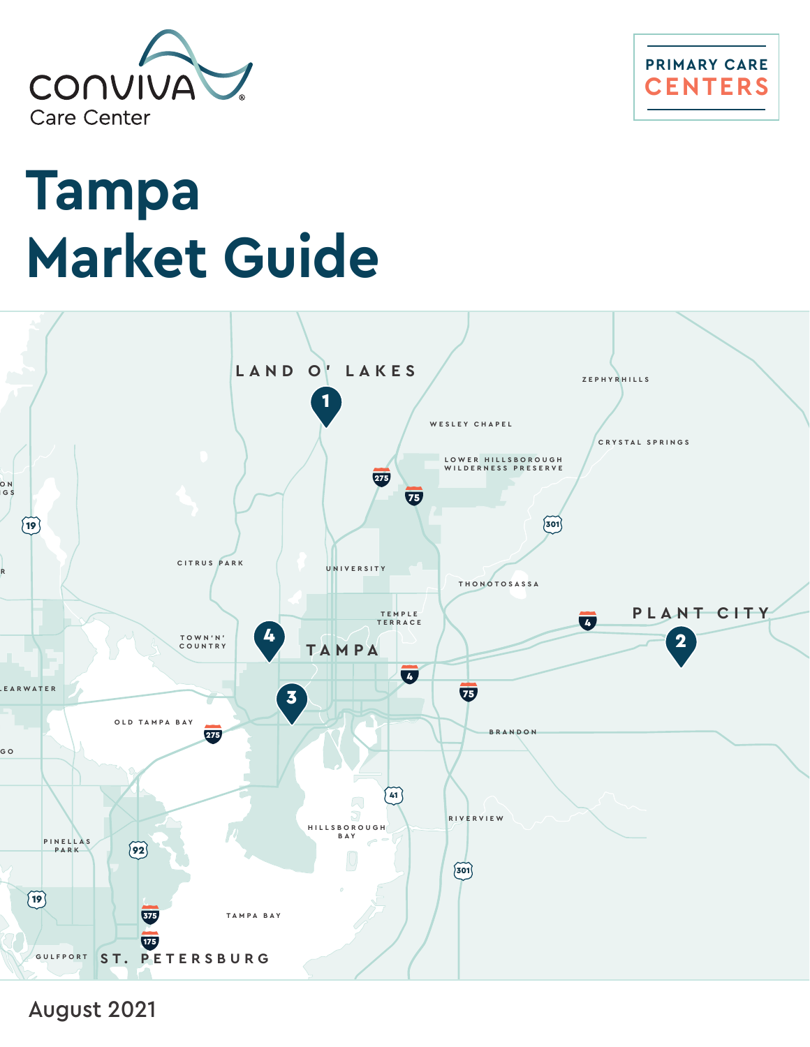



# **Tampa Market Guide**



August 2021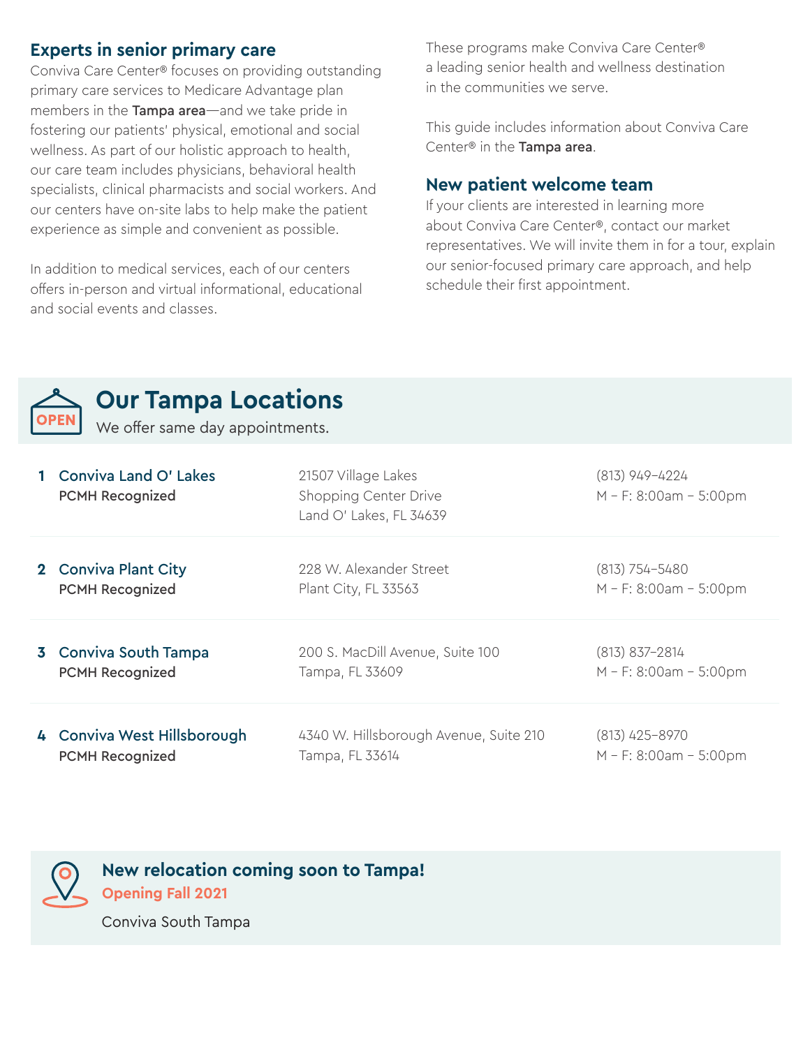### **Experts in senior primary care**

Conviva Care Center® focuses on providing outstanding primary care services to Medicare Advantage plan members in the Tampa area—and we take pride in fostering our patients' physical, emotional and social wellness. As part of our holistic approach to health, our care team includes physicians, behavioral health specialists, clinical pharmacists and social workers. And our centers have on-site labs to help make the patient experience as simple and convenient as possible.

In addition to medical services, each of our centers offers in-person and virtual informational, educational and social events and classes.

These programs make Conviva Care Center® a leading senior health and wellness destination in the communities we serve.

This guide includes information about Conviva Care Center® in the Tampa area.

#### **New patient welcome team**

If your clients are interested in learning more about Conviva Care Center®, contact our market representatives. We will invite them in for a tour, explain our senior-focused primary care approach, and help schedule their first appointment.



## **Our Tampa Locations**

We offer same day appointments.

| <b>Conviva Land O' Lakes</b><br><b>PCMH Recognized</b> | 21507 Village Lakes<br>Shopping Center Drive<br>Land O' Lakes, FL 34639 | (813) 949-4224<br>$M - F$ : 8:00am - 5:00pm |
|--------------------------------------------------------|-------------------------------------------------------------------------|---------------------------------------------|
| 2 Conviva Plant City                                   | 228 W. Alexander Street                                                 | $(813) 754 - 5480$                          |
| <b>PCMH Recognized</b>                                 | Plant City, FL 33563                                                    | $M - F$ : 8:00am - 5:00pm                   |
| 3 Conviva South Tampa                                  | 200 S. MacDill Avenue, Suite 100                                        | $(813)$ 837-2814                            |
| <b>PCMH Recognized</b>                                 | Tampa, FL 33609                                                         | $M - F$ : 8:00am - 5:00pm                   |
| 4 Conviva West Hillsborough                            | 4340 W. Hillsborough Avenue, Suite 210                                  | $(813)$ 425-8970                            |
| <b>PCMH Recognized</b>                                 | Tampa, FL 33614                                                         | $M - F$ : 8:00am - 5:00pm                   |



**New relocation coming soon to Tampa!**

**Opening Fall 2021**

Conviva South Tampa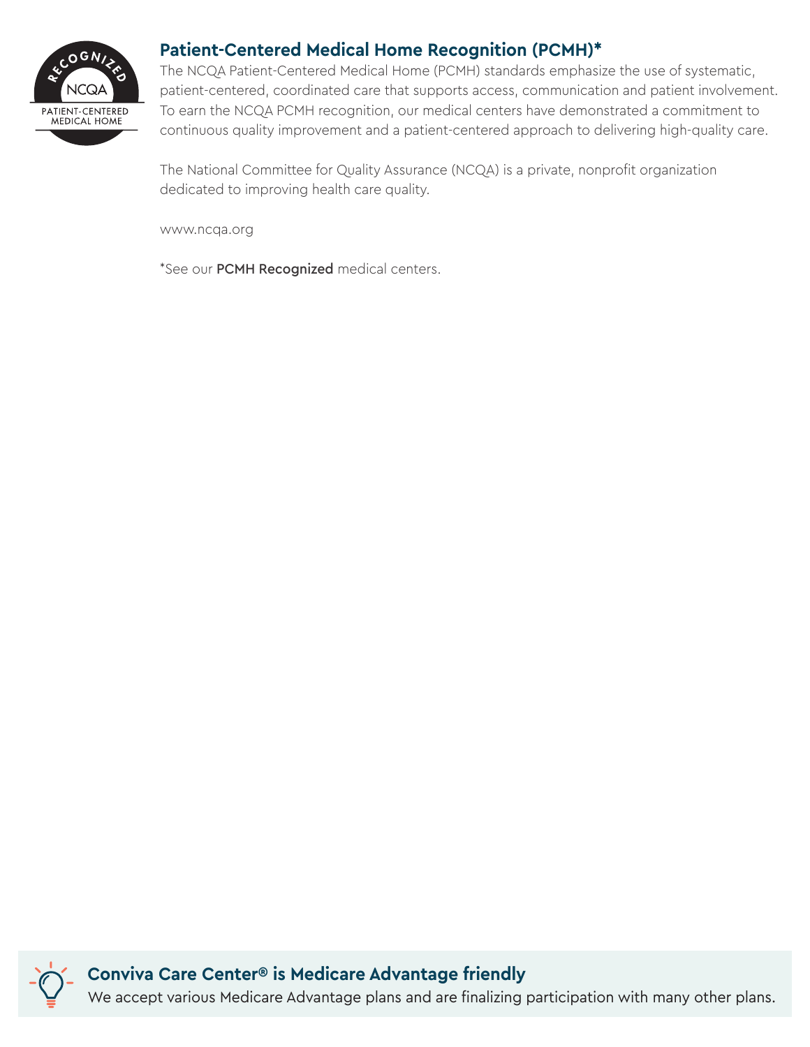

## **Patient-Centered Medical Home Recognition (PCMH)\***

The NCQA Patient-Centered Medical Home (PCMH) standards emphasize the use of systematic, patient-centered, coordinated care that supports access, communication and patient involvement. To earn the NCQA PCMH recognition, our medical centers have demonstrated a commitment to continuous quality improvement and a patient-centered approach to delivering high-quality care.

The National Committee for Quality Assurance (NCQA) is a private, nonprofit organization dedicated to improving health care quality.

www.ncqa.org

\*See our PCMH Recognized medical centers.

**Conviva Care Center® is Medicare Advantage friendly** We accept various Medicare Advantage plans and are finalizing participation with many other plans.